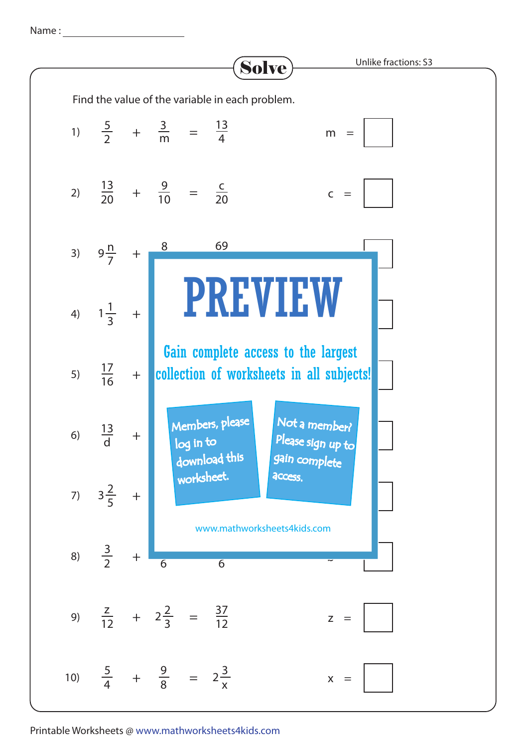